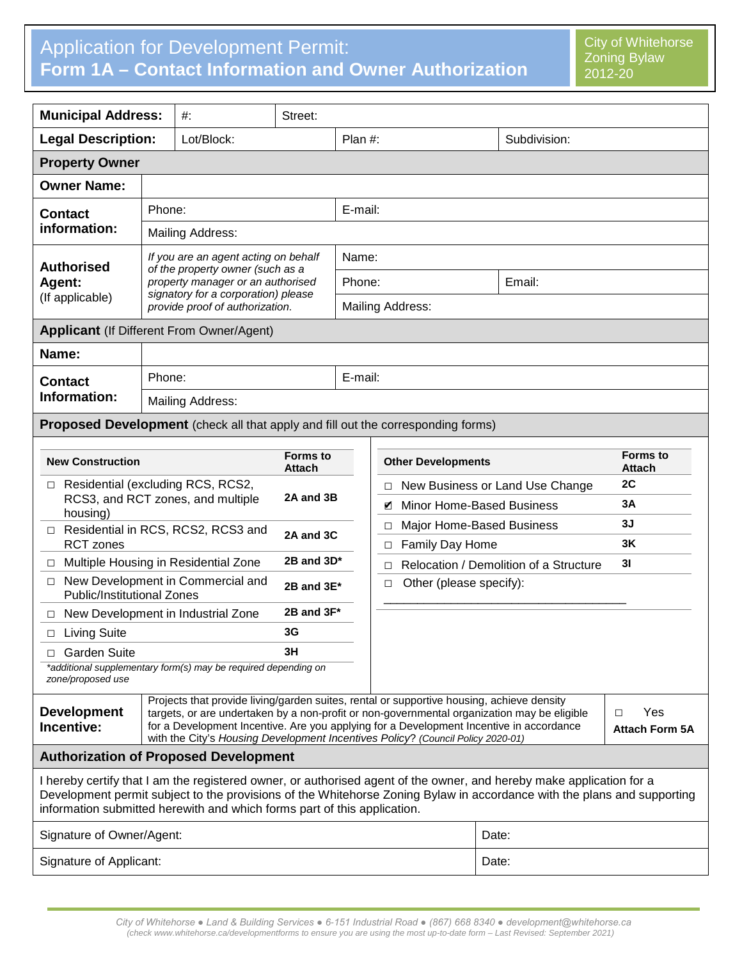## Application for Development Permit: **Form 1A – Contact Information and Owner Authorization**

| <b>Municipal Address:</b>                                                                                                                                                                                                                                                                                                                                                                                  |                                                                                                                                                                                         | $#$ :                            | Street:         |                           |                                   |                                        |                                   |
|------------------------------------------------------------------------------------------------------------------------------------------------------------------------------------------------------------------------------------------------------------------------------------------------------------------------------------------------------------------------------------------------------------|-----------------------------------------------------------------------------------------------------------------------------------------------------------------------------------------|----------------------------------|-----------------|---------------------------|-----------------------------------|----------------------------------------|-----------------------------------|
| <b>Legal Description:</b>                                                                                                                                                                                                                                                                                                                                                                                  |                                                                                                                                                                                         | Lot/Block:                       |                 | Plan #:                   |                                   | Subdivision:                           |                                   |
| <b>Property Owner</b>                                                                                                                                                                                                                                                                                                                                                                                      |                                                                                                                                                                                         |                                  |                 |                           |                                   |                                        |                                   |
| <b>Owner Name:</b>                                                                                                                                                                                                                                                                                                                                                                                         |                                                                                                                                                                                         |                                  |                 |                           |                                   |                                        |                                   |
| <b>Contact</b><br>information:                                                                                                                                                                                                                                                                                                                                                                             | Phone:                                                                                                                                                                                  |                                  |                 | E-mail:                   |                                   |                                        |                                   |
|                                                                                                                                                                                                                                                                                                                                                                                                            |                                                                                                                                                                                         | Mailing Address:                 |                 |                           |                                   |                                        |                                   |
| <b>Authorised</b><br>Agent:<br>(If applicable)                                                                                                                                                                                                                                                                                                                                                             | If you are an agent acting on behalf<br>of the property owner (such as a<br>property manager or an authorised<br>signatory for a corporation) please<br>provide proof of authorization. |                                  |                 | Name:                     |                                   |                                        |                                   |
|                                                                                                                                                                                                                                                                                                                                                                                                            |                                                                                                                                                                                         |                                  |                 | Phone:                    |                                   | Email:                                 |                                   |
|                                                                                                                                                                                                                                                                                                                                                                                                            |                                                                                                                                                                                         |                                  |                 | <b>Mailing Address:</b>   |                                   |                                        |                                   |
| <b>Applicant (If Different From Owner/Agent)</b>                                                                                                                                                                                                                                                                                                                                                           |                                                                                                                                                                                         |                                  |                 |                           |                                   |                                        |                                   |
| Name:                                                                                                                                                                                                                                                                                                                                                                                                      |                                                                                                                                                                                         |                                  |                 |                           |                                   |                                        |                                   |
| <b>Contact</b>                                                                                                                                                                                                                                                                                                                                                                                             | Phone:                                                                                                                                                                                  |                                  | E-mail:         |                           |                                   |                                        |                                   |
| Information:                                                                                                                                                                                                                                                                                                                                                                                               | Mailing Address:                                                                                                                                                                        |                                  |                 |                           |                                   |                                        |                                   |
| <b>Proposed Development</b> (check all that apply and fill out the corresponding forms)                                                                                                                                                                                                                                                                                                                    |                                                                                                                                                                                         |                                  |                 |                           |                                   |                                        |                                   |
|                                                                                                                                                                                                                                                                                                                                                                                                            |                                                                                                                                                                                         |                                  |                 |                           |                                   |                                        |                                   |
| <b>New Construction</b>                                                                                                                                                                                                                                                                                                                                                                                    |                                                                                                                                                                                         | <b>Forms to</b><br><b>Attach</b> |                 | <b>Other Developments</b> |                                   | <b>Forms to</b><br><b>Attach</b>       |                                   |
| □ Residential (excluding RCS, RCS2,                                                                                                                                                                                                                                                                                                                                                                        |                                                                                                                                                                                         |                                  | 2A and 3B       |                           | П                                 | New Business or Land Use Change        | 2C                                |
| RCS3, and RCT zones, and multiple<br>housing)                                                                                                                                                                                                                                                                                                                                                              |                                                                                                                                                                                         |                                  |                 |                           | И                                 | Minor Home-Based Business              | 3A                                |
| □ Residential in RCS, RCS2, RCS3 and<br><b>RCT</b> zones                                                                                                                                                                                                                                                                                                                                                   |                                                                                                                                                                                         |                                  | 2A and 3C       |                           | □<br>Family Day Home              | Major Home-Based Business              | 3J<br>3K                          |
| Multiple Housing in Residential Zone<br>□                                                                                                                                                                                                                                                                                                                                                                  |                                                                                                                                                                                         |                                  | 2B and 3D*      |                           | □<br>П                            | Relocation / Demolition of a Structure | 3 <sub>l</sub>                    |
| New Development in Commercial and<br>$\Box$<br><b>Public/Institutional Zones</b>                                                                                                                                                                                                                                                                                                                           |                                                                                                                                                                                         |                                  | $2B$ and $3E^*$ |                           | Other (please specify):<br>$\Box$ |                                        |                                   |
| New Development in Industrial Zone<br>$\Box$                                                                                                                                                                                                                                                                                                                                                               |                                                                                                                                                                                         |                                  | 2B and 3F*      |                           |                                   |                                        |                                   |
| <b>Living Suite</b><br>□                                                                                                                                                                                                                                                                                                                                                                                   | 3G                                                                                                                                                                                      |                                  |                 |                           |                                   |                                        |                                   |
| 3H<br><b>Garden Suite</b>                                                                                                                                                                                                                                                                                                                                                                                  |                                                                                                                                                                                         |                                  |                 |                           |                                   |                                        |                                   |
| *additional supplementary form(s) may be required depending on<br>zone/proposed use                                                                                                                                                                                                                                                                                                                        |                                                                                                                                                                                         |                                  |                 |                           |                                   |                                        |                                   |
| Projects that provide living/garden suites, rental or supportive housing, achieve density<br><b>Development</b><br>targets, or are undertaken by a non-profit or non-governmental organization may be eligible<br>for a Development Incentive. Are you applying for a Development Incentive in accordance<br>Incentive:<br>with the City's Housing Development Incentives Policy? (Council Policy 2020-01) |                                                                                                                                                                                         |                                  |                 |                           |                                   |                                        | Yes<br>□<br><b>Attach Form 5A</b> |
| <b>Authorization of Proposed Development</b>                                                                                                                                                                                                                                                                                                                                                               |                                                                                                                                                                                         |                                  |                 |                           |                                   |                                        |                                   |
| I hereby certify that I am the registered owner, or authorised agent of the owner, and hereby make application for a<br>Development permit subject to the provisions of the Whitehorse Zoning Bylaw in accordance with the plans and supporting<br>information submitted herewith and which forms part of this application.                                                                                |                                                                                                                                                                                         |                                  |                 |                           |                                   |                                        |                                   |
| Signature of Owner/Agent:                                                                                                                                                                                                                                                                                                                                                                                  |                                                                                                                                                                                         |                                  |                 |                           |                                   | Date:                                  |                                   |
| Signature of Applicant:                                                                                                                                                                                                                                                                                                                                                                                    |                                                                                                                                                                                         |                                  |                 |                           |                                   | Date:                                  |                                   |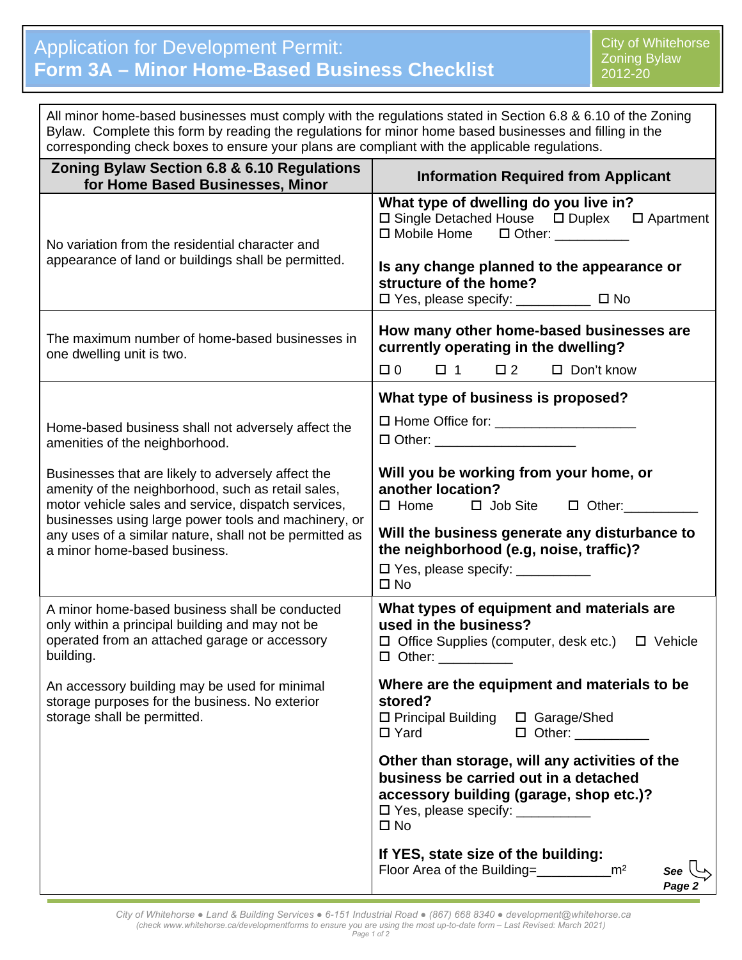| All minor home-based businesses must comply with the regulations stated in Section 6.8 & 6.10 of the Zoning<br>Bylaw. Complete this form by reading the regulations for minor home based businesses and filling in the<br>corresponding check boxes to ensure your plans are compliant with the applicable regulations.                                                                                    |                                                                                                                                                                                                                                                                                                                                     |  |  |  |  |
|------------------------------------------------------------------------------------------------------------------------------------------------------------------------------------------------------------------------------------------------------------------------------------------------------------------------------------------------------------------------------------------------------------|-------------------------------------------------------------------------------------------------------------------------------------------------------------------------------------------------------------------------------------------------------------------------------------------------------------------------------------|--|--|--|--|
| Zoning Bylaw Section 6.8 & 6.10 Regulations<br>for Home Based Businesses, Minor                                                                                                                                                                                                                                                                                                                            | <b>Information Required from Applicant</b>                                                                                                                                                                                                                                                                                          |  |  |  |  |
| No variation from the residential character and<br>appearance of land or buildings shall be permitted.                                                                                                                                                                                                                                                                                                     | What type of dwelling do you live in?<br>$\Box$ Single Detached House $\Box$ Duplex $\Box$ Apartment<br>$\square$ Mobile Home $\square$ Other:<br>Is any change planned to the appearance or<br>structure of the home?                                                                                                              |  |  |  |  |
| The maximum number of home-based businesses in<br>one dwelling unit is two.                                                                                                                                                                                                                                                                                                                                | How many other home-based businesses are<br>currently operating in the dwelling?<br>$\Box$ 0<br>$\Box$ 2<br>$\Box$ Don't know<br>$\Box$ 1                                                                                                                                                                                           |  |  |  |  |
| Home-based business shall not adversely affect the<br>amenities of the neighborhood.<br>Businesses that are likely to adversely affect the<br>amenity of the neighborhood, such as retail sales,<br>motor vehicle sales and service, dispatch services,<br>businesses using large power tools and machinery, or<br>any uses of a similar nature, shall not be permitted as<br>a minor home-based business. | What type of business is proposed?<br>□ Other: ______________________<br>Will you be working from your home, or<br>another location?<br>$\Box$ Home $\Box$ Job Site $\Box$ Other:<br>Will the business generate any disturbance to<br>the neighborhood (e.g, noise, traffic)?<br>□ Yes, please specify: ___________<br>$\square$ No |  |  |  |  |
| A minor home-based business shall be conducted<br>only within a principal building and may not be<br>operated from an attached garage or accessory<br>building.                                                                                                                                                                                                                                            | What types of equipment and materials are<br>used in the business?<br>$\Box$ Office Supplies (computer, desk etc.) $\Box$ Vehicle<br>$\Box$ Other: ___________                                                                                                                                                                      |  |  |  |  |
| An accessory building may be used for minimal<br>storage purposes for the business. No exterior<br>storage shall be permitted.                                                                                                                                                                                                                                                                             | Where are the equipment and materials to be<br>stored?<br>$\Box$ Principal Building<br>□ Garage/Shed<br>$\Box$ Yard<br>$\Box$ Other: $\_\_\_\_\_\_\_\_\_\_\_\_\_\_$                                                                                                                                                                 |  |  |  |  |
|                                                                                                                                                                                                                                                                                                                                                                                                            | Other than storage, will any activities of the<br>business be carried out in a detached<br>accessory building (garage, shop etc.)?<br>□ Yes, please specify: __________<br>$\square$ No                                                                                                                                             |  |  |  |  |
|                                                                                                                                                                                                                                                                                                                                                                                                            | If YES, state size of the building:<br>See<br>Page 2                                                                                                                                                                                                                                                                                |  |  |  |  |